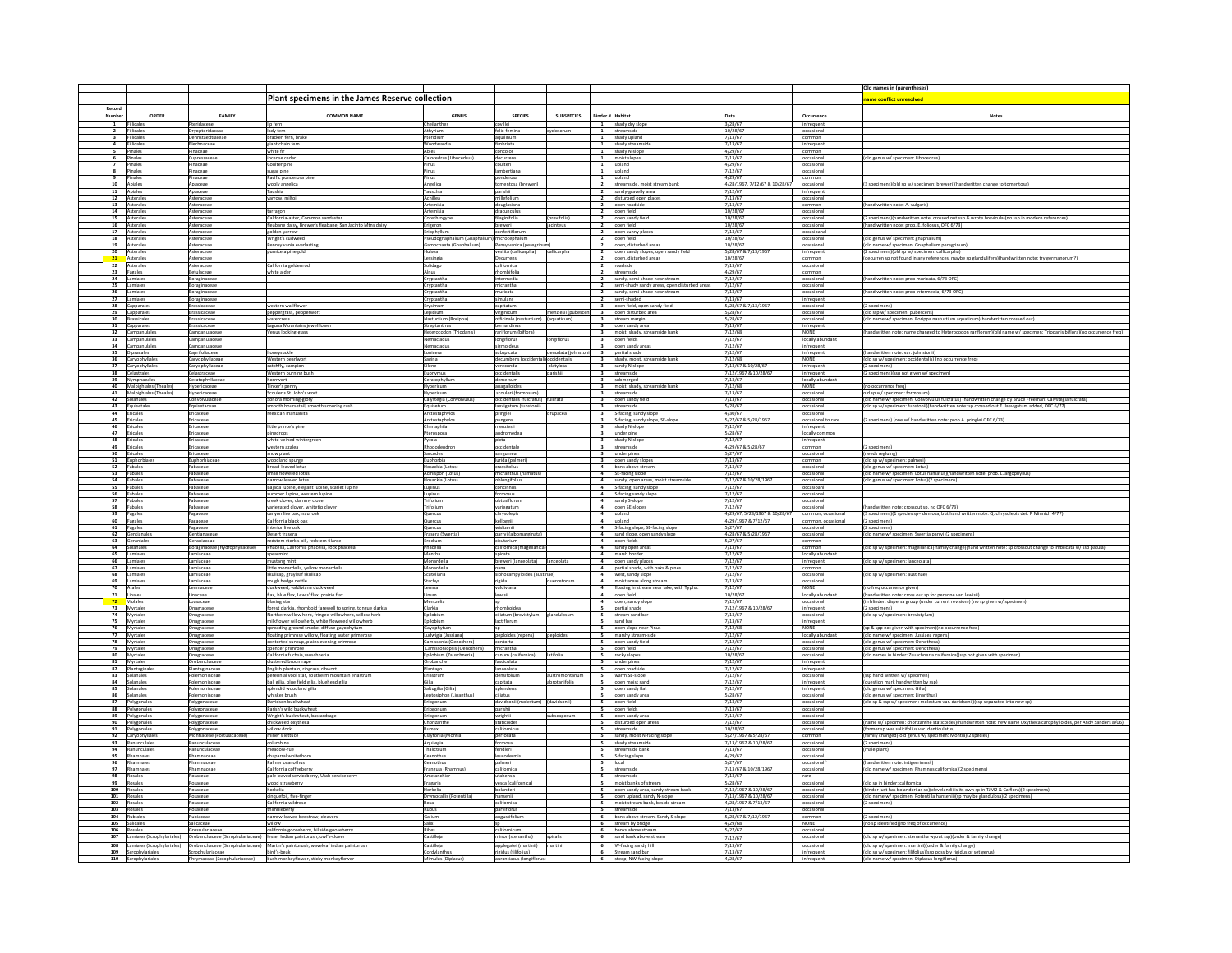|                    |                                           |                                   |                                                                                                                                |                                               |                                       |                                   |                          |                                                                                   |                                             |                                         | Old names in (parentheses)                                                                                                               |
|--------------------|-------------------------------------------|-----------------------------------|--------------------------------------------------------------------------------------------------------------------------------|-----------------------------------------------|---------------------------------------|-----------------------------------|--------------------------|-----------------------------------------------------------------------------------|---------------------------------------------|-----------------------------------------|------------------------------------------------------------------------------------------------------------------------------------------|
|                    |                                           |                                   | Plant specimens in the James Reserve collection                                                                                |                                               |                                       |                                   |                          |                                                                                   |                                             |                                         | ame conflict unresolved                                                                                                                  |
| Record             |                                           |                                   |                                                                                                                                |                                               |                                       |                                   |                          |                                                                                   |                                             |                                         |                                                                                                                                          |
| Vumber             | ORDER                                     | FAMILY                            | <b>COMMON NAME</b>                                                                                                             | <b>GENUS</b>                                  | <b>SPECIES</b>                        | <b>SUBSPECIES</b>                 | <b>Binder # Habitat</b>  |                                                                                   | Date                                        | Occurrence                              | <b>Notes</b>                                                                                                                             |
| $\mathbf{1}$       | Fillicales                                | <sup>2</sup> teridaceae           | lip fern                                                                                                                       | Cheilanthes                                   | covillei                              |                                   |                          | 1 shady dry slope                                                                 | 3/28/67                                     | infrequent                              |                                                                                                                                          |
|                    | 2 Fillicales                              | Invopteridacea<br>ennstaedtiaceae | lady fern                                                                                                                      | Athyrium<br>Pteridium                         | elix-femin                            |                                   |                          | 1 streamside                                                                      | 10/28/67<br>7/13/67                         | occasiona<br>common                     |                                                                                                                                          |
|                    | 3 Filicales<br>4 Filicales                | chnaceae                          | bracken fern, brake<br>giant chain fern                                                                                        | Woodwardia                                    | aquilinum<br>nbriata                  |                                   |                          | 1 shady upland<br>1 shady streamside                                              | /13/67                                      | infrequent                              |                                                                                                                                          |
| 5                  | Pinales                                   | naceae                            | white fir                                                                                                                      | Abies                                         | oncolor                               |                                   |                          | 1 shady N-slope                                                                   | 4/29/67                                     |                                         |                                                                                                                                          |
| $\overline{ }$     | 6 Pinales<br>Pinales                      | Cupressaceae<br>naceae            | incense cedar<br>Coulter pine                                                                                                  | Calocedrus (Libocedrus                        | decurrens<br>oulteri                  |                                   |                          | 1 moist slopes<br>1 upland                                                        | 7/13/67<br>4/29/67                          | occasiona<br>occasional                 | (old genus w/ specimen: Libocedrus)                                                                                                      |
|                    | 8 Pinales                                 | inaceae                           | sugar pine                                                                                                                     | Pinus                                         | lambertiana                           |                                   |                          | 1 upland                                                                          | 7/12/67                                     | occasional                              |                                                                                                                                          |
|                    | 9 Pinales                                 | inaceae                           | Pacific ponderosa pir                                                                                                          | Pinus                                         | onderosa                              |                                   |                          | 1 upland                                                                          | 4/29/67                                     | common                                  |                                                                                                                                          |
| 10 Apiales<br>11   | Apiales                                   | Apiaceae<br>Apiaceae              | wooly angelica<br>Taushia                                                                                                      | Angelica<br>Tauschia                          | omentosa (bre<br>arishii              |                                   |                          | 2 streamside, moist stream bank<br>2 sandy-gravelly area                          | 4/28/1967, 7/12/67 & 10/28/67<br>12/67      | occasional<br>infrequent                | 3 specimens) (old sp w/ specimen: breweri) (handwritten change to tomentosa                                                              |
| 12                 | Asterales                                 | steraceae                         | arrow, milfoil                                                                                                                 | Achillea                                      | <b>Illefolium</b>                     |                                   |                          | 2 disturbed open plac                                                             | /13/67                                      | ccasional                               |                                                                                                                                          |
|                    | 13 Asterales                              | Asteraceae                        |                                                                                                                                | Artemisia                                     | douglasiana                           |                                   |                          | 2 open roadside<br>2 open field                                                   | 7/13/67                                     | common                                  | (hand written note: A. vulgaris)                                                                                                         |
| 14                 | Asterales<br>15 Asterales                 | Asteraceae<br>Asteraceae          | tarragon<br>California-aster, Common sandaster                                                                                 | Corethrogyne                                  | fracunculus<br>filaginifolia          | brevifolia)                       |                          | 2 open sandy field                                                                | 10/28/67<br>10/28/67                        | occasiona<br>occasional                 | [2 specimens][handwritten note: crossed out ssp & wrote brevicula](no ssp in modern references                                           |
|                    | 16 Asterales                              | steraceae                         | fleabane daisy, Brewer's fleabane, San Jacinto Mtns daisy                                                                      | Erigeron                                      | breweri                               | iteus                             |                          | 2 open field                                                                      | 10/28/67                                    | occasional                              | hand written note: prob. E. foliosus, OFC 6/73)                                                                                          |
|                    | 17 Asterales                              | steraceae                         | golden-yarrow                                                                                                                  | riophyllum                                    | onfertiflorum                         |                                   |                          | 2 open sunny places                                                               | 7/13/67                                     | occasioanal                             |                                                                                                                                          |
|                    | 18 Asterales<br>19 Asterales              | Asteraceae<br>steraceae           | Wright's cudweed<br>ania everlastin                                                                                            | Pseudognaphalium (Gnaphal<br>nochaeta (Gnanha | microcephalum<br>sylvanica (pere      |                                   |                          | 2 open field<br>2 open, disturbed areas                                           | 10/28/67<br>10/28/67                        | occasional                              | (old genus w/ specimen: gnaphalium)<br>old name w/ specimen: Gnaphalium peregrinum)                                                      |
|                    | 20 Asterales<br>21 Asterales              | Asteraceae                        | pumice alpinegold                                                                                                              | Hulsea                                        | vestita (callicarpha) callicarpha     |                                   |                          | 2 open sandy slopes, open sandy field                                             | 5/28/67 & 7/13/1967                         | infrequent                              | (2 specimens)(old sp w/ specimen: callicarpha)                                                                                           |
| 22                 | Asterales                                 | steraceae<br>Asteraceae           |                                                                                                                                | Lessingia                                     | Decurrens                             |                                   |                          | 2 open, disturbed areas<br>2 roadside                                             | 10/28/67<br>7/13/67                         | occasional                              | curren sp not found in any references, maybe sp glandulifera)(handwritten note: try g                                                    |
|                    | 23 Fagales                                | tulaceae                          | California goldenrod<br>white alder                                                                                            | Solidago<br>lnus                              | californica<br>mbifolia               |                                   |                          | 2 streamside                                                                      | 4/29/67                                     | mmon                                    |                                                                                                                                          |
|                    | 24 Lamiales                               | loraginaceae                      |                                                                                                                                | Cryptantha                                    | ntermedia                             |                                   |                          | 2 sandy, semi-shade near stream                                                   | 12/67                                       | occasional                              | hand written note: prob muricata, 6/73 OFC)                                                                                              |
| 26                 | 25 Lamiales<br>Lamiales                   | Boraginaceae<br>loraginaceae      |                                                                                                                                | Cryptantha<br>Cryptantha                      | nicrantha<br>nuricata                 |                                   |                          | 2 semi-shady sandy areas, open disturbed areas<br>2 sandy, semi-shade near stream | 7/12/67<br>/13/67                           | occasional<br>occasiona                 | hand written note: prob intermedia, 6/73 OFC                                                                                             |
|                    | 27 Lamiales                               | Boraginaceae                      |                                                                                                                                | Cryptantha                                    | simulans                              |                                   |                          | 2 semi-shaded                                                                     | 7/13/67                                     | infrequent                              |                                                                                                                                          |
|                    | 28 Capparales                             | Brassicaceae                      | western wallflower                                                                                                             | Erysimum                                      | capitatum                             |                                   |                          | 3 open field, open sandy field                                                    | 5/28/67 & 7/13/1967                         | occasional                              | (2 specimens)                                                                                                                            |
|                    | 29 Capparales<br>30 Brassicales           | rassicaceae<br>Brassicaceae       | peppergrass, pepperwort<br>watercress                                                                                          | Lepidium<br>Nasturtium (Roripp                | virginicum<br>officinale (nasturtium) | enziesii (pubescen<br>(aquaticum) |                          | 3 open disturbed area<br>3 stream margin                                          | 5/28/67<br>5/28/67                          | occasional<br>occasional                | (old ssp w/ specimen: pubescens)<br>old name w/ specimen: Rorippa nasturtium aquaticum)(handwritten crossed out                          |
|                    | 31 Capparales                             | <b>Brassicaceae</b>               | Laguna Mountains jewelflo                                                                                                      | Strentanthus                                  | hamsrdinu                             |                                   |                          | 3 open sandy area                                                                 | 7/13/67                                     | infrequent                              |                                                                                                                                          |
|                    | 32 Campanulales                           | Campanulaceae                     | /enus looking-glass                                                                                                            | Heterocodon (Triod<br>Nemacladus              | rariflorum (biflora                   | giflorus                          |                          | 3 moist, shady, streamside bank                                                   | 7/12/68<br>7/12/67                          | NONE                                    | (handwritten note: name changed to Heterocodon rariflorum)(old name w/ specimen: Triodanis biflora)(no occurrence freq)                  |
|                    | 33 Campanulales<br>34 Campanulales        | Campanulaceae<br>Campanulaceae    |                                                                                                                                | Nemacladus                                    | ongiflorus<br>sigmoideus              |                                   |                          | 3 open fields                                                                     | 7/12/67                                     | locally abundant<br>infrequent          |                                                                                                                                          |
|                    | 35 Dipsacales                             | aprifoliaceae                     | oneysuckle                                                                                                                     | Lonicera                                      | ubspicata                             | nudata (johns                     |                          | 3 open sandy areas<br>3 partial shade                                             | 7/12/67                                     | infrequent                              | [handwritten note: var. johnstonii]                                                                                                      |
|                    | 36 Caryophyllales                         | Caryophyllaceae                   | Western pearlwort                                                                                                              | Sagina                                        | decumbens (occi                       | occidentalis                      |                          | 3 shady, moist, streamside bank                                                   | 12/68                                       | NONE                                    | old sp w/ specimen: occidentalis) (no occurrence freq)                                                                                   |
|                    | 37 Caryophyllales<br>38 Celastrales       | Caryophyllaceae<br>elastraceae    | catchfly, campion<br><b>Nestern burning bus</b>                                                                                | Silene<br>Euonymus                            | erecunda<br>ccidentalis               | platylota                         |                          | 3 sandy N-slope<br>3 streamside                                                   | 7/13/67 & 10/28/67<br>7/12/1967 & 10/28/67  | infrequent<br>infrequent                | (2 specimens)<br>2 specimens)(ssp not given w/ specimer                                                                                  |
|                    | 39 Nymphaeales                            | Ceratophyllaceae                  | <b>ornwort</b>                                                                                                                 | Ceratophyllum                                 | demersum                              |                                   |                          | 3 submerged                                                                       | 7/13/67                                     | locally abundant                        |                                                                                                                                          |
|                    | 40 Malpighiales (Th                       | Hypericaceae                      | inker's penny<br>Scouler's St. John's wort                                                                                     | Hypericum                                     | nagalloides<br>scouleri (form         |                                   |                          | 3 moist, shady, stream                                                            | /12/68<br>7/13/67                           | <b>NONE</b><br>occasional               | (no occurrence freq)                                                                                                                     |
|                    | 41 Malpighiales (Theales)<br>42 Solanales | lypericaceae<br>onvolvulaceae     | ionora morning-glory                                                                                                           | Hypericum<br>Calystegia (Con                  | ccidentalis (fulcratus)               | Icrata                            |                          | 3 streamside<br>3 open sandy field                                                | 7/13/67                                     | occasional                              | old sp w/ specimen: formosum)<br>old name w/ specimen: Convolvulus fulcratus) (handwritten change by Bruce Freeman: Calystegia fulcrata) |
|                    | 43 Equisetales                            | quisetaceae                       | mooth hoursetail, smooth scouring rush                                                                                         |                                               | aevigatum (funstonii)                 |                                   |                          | 3 streamside<br>3 S-facing, sandy slope                                           | 5/28/67                                     | occasional                              | old sp w/ specimen: funstonii)(handwritten note: sp crossed out E. laevigatum added, OFC 6/77)                                           |
| 45                 | 44 Ericales<br>Ericales                   | Ericaceae<br>ricaceae             | Mexican manzanita                                                                                                              | Arctostaphylo:<br>Arctostaphylo               | pringlei<br>pungens                   | drupacea                          |                          | 3 S-facing, sandy slope, SE-slop                                                  | 4/30/67<br>5/27/67 & 5/28                   | occasional<br>occasional to ra          | 2 specimens) (one w/ handwritten note: prob A. pringlei OFC 6/73)                                                                        |
|                    | 46 Ericales                               | Ericaceae                         | little prince's pine                                                                                                           | Chimaphila                                    | menziesii                             |                                   |                          | 3 shady N-slope                                                                   | 7/12/67                                     | infrequent                              |                                                                                                                                          |
| 48                 | 47 Ericales<br>Ericales                   | Ericaceae                         | pinedrops                                                                                                                      | Pterospora<br>Pyrola                          | indromedea<br>picta                   |                                   |                          | 3 under pine<br>3 shady N-slope                                                   | 5/28/67<br>1/12/67                          | locally commo                           |                                                                                                                                          |
|                    | 49 Ericales                               | Ericaceae<br>Ericaceae            | white-veined wintergreen<br>western azalea                                                                                     | Rhododendron                                  | occidentale                           |                                   |                          | 3 streamside                                                                      | 4/29/67 & 5/28/67                           | infrequent<br>common                    | (2 specimens)                                                                                                                            |
|                    | 50 Ericales                               | ricaceae                          | now plant                                                                                                                      | arcodes                                       | anguinea                              |                                   |                          | 3 under pines                                                                     | 127/67                                      | occasional                              | needs regluing)                                                                                                                          |
|                    | 51 Euphorbiale:<br>52 Fabales             | Euphorbiacear<br>Fabaceae         | woodland spurge<br>broad-leaved lotu                                                                                           | Euphorbia<br>losackia (Lotus                  | lurida (palmeri)                      |                                   |                          | 3 open sandy slopes<br>4 bank above stream                                        | 7/13/67<br>7/13/67                          | common                                  | (old sp w/ specimen: palmeri)<br>old genus w/ specimen: Lotus)                                                                           |
| 53 Fabales         |                                           | Fabaceae                          | small flowered lotus                                                                                                           | Acmispon (Lotus)                              | micranthus (hamatus)                  |                                   |                          | 4 SE-facing slope                                                                 | 7/12/67                                     | occasional                              | (old name w/ specimen: Lotus hamatus)(handwritten note: prob. L. argophyllus)                                                            |
|                    | 54 Fabales                                | abaceae                           | arrow-leaved lotu:                                                                                                             | Hosackia (Lotus                               | ılongifo                              |                                   |                          | 4 sandy, open areas, moist streamside                                             | .<br>/12/67 & 10/28/1967                    | occasiona                               | old genus w/ speci<br>men: Lotus)(2 spe                                                                                                  |
|                    | 55 Fabales<br>56 Fabales                  | Fabaceae<br>Fabaceae              | Bajada lupine, elegant lupine, scarlet lupine<br>ummer lupine, western lupin                                                   | Lupinus<br>Lupinus                            | oncinnus<br>nosus                     |                                   |                          | 4 S-facing, sandy slope<br>4 S-facing sandy slope                                 | $\frac{7}{12}/\frac{2}{67}$                 | occasioanl<br>occasional                |                                                                                                                                          |
|                    | 57 Fabales                                | abaceae                           | creek clover, clammy clover                                                                                                    | Trifolium                                     | ibtusiflorun                          |                                   |                          | 4 sandy S-slope                                                                   | 7/12/67                                     | occasiona                               |                                                                                                                                          |
|                    | 58 Fabales                                | Fabaceae                          | variegated clover, whitetip clove                                                                                              | Trifolium                                     | variegatum                            |                                   |                          | 4 open SE-slopes                                                                  | 7/12/67<br>4/29/67, 5/28/1967 & 10/28/      | occasional                              | handwritten note: crossout sp, no OFC 6/73)                                                                                              |
|                    | 59 Fagales<br>60 Fagales                  | Fagaceae<br>Fagaceae              | canyon live oak, maul oak<br>California black oak                                                                              | Quercus<br>Quercus                            | chrysolepis<br>kelloggii              |                                   |                          | 4 upland                                                                          | 4/29/1967 & 7/12/67                         | ommon, occasional<br>common, occasional | (3 specimens)[1 species sp= dumosa, but hand written note: Q. chrysolepis det. R Minnich 4/7<br>(2 specimens)                            |
|                    | 61 Fagales                                | Fagaceae                          | interior live oak                                                                                                              | Quercus                                       | vislizenii                            |                                   |                          | 4 upland<br>4 S-facing slope, SE-facing slope                                     | 5/27/67                                     | occasional                              | (2 specimens)                                                                                                                            |
|                    | 62 Gentianales<br>63 Geraniales           | entianaceae<br>Seraniaceae        | Desert frasera<br>redstem stork's bill, redstem filaree                                                                        | Frasera (Swer<br>Erodium                      | parryi (albomarginata)<br>cicutarium  |                                   |                          | 4 sand slope, open sandy slope<br>4 open fields                                   | 4/28/67 & 5/28/1967<br>5/27/67              | occasional<br>common                    | old name w/ specimen: Swertia parryi)(2 specimens                                                                                        |
|                    | 64 Solanales                              | Boraginaceae (Hydrophyllaceae     | Phacelia, California phacelia, rock phacelia                                                                                   | Phacelia                                      | californica (magella                  |                                   |                          | 4 sandy open areas                                                                | 7/13/67                                     | common                                  | [old sp w/ specimen: magellanica)[family change)[hand written note: sp crossout change to imbricata w/ ssp patula]                       |
|                    | 65 Lamiales                               | Lamiaceae                         | spearmint                                                                                                                      | Mentha                                        | spicata                               |                                   |                          | 4 marsh border                                                                    | 7/12/67                                     | locally abundant                        |                                                                                                                                          |
|                    | 66 Lamiales<br>67 Lamiales                | Lamiaceae<br>Lamiaceae            | nustang mint<br>ittle monardella, yellow monardella                                                                            | Monardella<br>Monardella                      | breweri (lanceolata)<br>nana          | ceolata                           |                          | 4 open sandy places<br>4 partial shade, with oaks & pines                         | 7/12/67<br>7/12/67                          | infrequent<br>common                    | (old sp w/ specimen: lanceolata)                                                                                                         |
|                    | 68 Lamiales                               | amiaceae                          | skullcap, grayleaf skullcap                                                                                                    | Scutellaria                                   | siphocampyloides (austinae)           |                                   |                          | 4 west, sandy slope<br>4 moist areas along stream                                 | 7/12/67                                     | occasiona                               | (old sp w/ specimen: austinae)                                                                                                           |
|                    | 69 Lamiales                               | Lamiaceae                         | rough hedge nettle                                                                                                             | Stachys                                       | rigida                                |                                   |                          |                                                                                   | 7/13/67                                     | preasional                              |                                                                                                                                          |
| 70 Arales          | 71 Linales                                | Lemnaceae<br>inaceae              | duckweed, valdiviana duckweed<br>flax, blue flax, Lewis' flax, prairie flax                                                    | Lemna<br>Linum                                | valdiviana                            |                                   |                          | 4 floating in stream near lake, with Typha<br>4 open field                        | 7/12/67<br>10/28/67                         | NONE<br>locally abunda                  | (no freq occurrence given)<br>written note: cross out sp for perenne var. lewisii                                                        |
| 72                 | Violales<br>Myrtales                      | oasaceae                          | blazing star                                                                                                                   | Mentzelia                                     |                                       |                                   |                          | 4 open, sandy slope<br>5 partial shade                                            | 7/12/67                                     | occasional                              | (in blinder: dispersa group (under current revision)) (no sp given w/ specimen)                                                          |
| 73                 |                                           | Inagraceae                        | orest clarkia, rhomboid farewell to spring, tongue clarkia                                                                     | Clarkia                                       | omboidea<br>ciliatum (brevistyli      |                                   |                          |                                                                                   | 12/1967 & 10/28/67                          | infrequent                              | old sp w/ specimen: brevistylum)                                                                                                         |
|                    | 74 Myrtales<br>75 Myrtales                | Inagraceae<br>Onagraceae          | lorthern willow herb, fringed willowherb, willow herb<br>milkflower willowherb, white flowered willowherb                      | Epilobium                                     | lactiflorum                           |                                   |                          | 5 stream sand bar<br>5 sand bar                                                   | 7/13/67<br>7/13/67                          | occasional<br>infrequent                |                                                                                                                                          |
|                    | 76 Myrtale                                | Inagraceae                        | preading ground smoke, diffuse gayophytum                                                                                      | Sayophytum                                    |                                       |                                   |                          | 5 open slope near Pin                                                             | 7/12/68                                     | NONE                                    | (sp & spp not given with specimen) (no occurrence freq)                                                                                  |
| 78                 | 77 Myrtales<br>Myrtales                   | Onagraceae<br>Onagraceae          | loating primrose willow, floating water primerose<br>ontorted suncup, plains evening primrose                                  | Ludwigia (Jussiaea)<br>issonia (Oen           | peploides (repens)                    | peploides                         |                          | 5 marshy stream-side<br>5 open sandy field                                        | 7/12/67<br>7/12/67                          | locally abundan<br>occasional           | (old name w/ specimen: Jussiaea repens)<br>old genus w/ specimen: Oenothera)                                                             |
|                    | 79 Myrtales                               | Onagraceae                        | Spencer primrose                                                                                                               | asis (Oenothera)<br>Camis                     | nicrantha                             |                                   |                          | 5 open field                                                                      | 7/12/67                                     | occasional                              | old genus w/ specimen: Oenothera)                                                                                                        |
| 81                 | 80 Myrtales                               | Onagraceae                        | California fuchsia,zauschneria                                                                                                 | Epilobium (Zauschne                           | anum (californica                     | tifolia                           |                          | 5 rocky slopes                                                                    | 10/28/67<br>12/67                           | occasional                              | old names in binder: Zauschneria californica)(ssp not given with specimen                                                                |
|                    | Myrtales<br>82 Plantaginale:              | obanchacea<br>Plantaginaceae      | lustered broomrape                                                                                                             | Orobanche<br>Plantago                         | sciculata<br>anceolata                |                                   |                          | 5 under pines                                                                     | 7/12/67                                     | infrequent                              |                                                                                                                                          |
|                    | 83 Solanales                              |                                   | English plantain, ribgrass, ribwort<br>perennial vool star, southerm mou<br>untain eriastrur                                   |                                               |                                       |                                   |                          | 5 open roadside<br>5 warm SE-slope                                                | 7/12/67                                     | infrequent<br>occasional                | (ssp hand written w/ specimen                                                                                                            |
|                    | 84 Solanales                              | olemoniaceae                      | ball gilia, blue field gilia, bluehead gilia                                                                                   | Gilia                                         | capitata                              | abrotanifolia                     |                          | 5 open moist sand                                                                 | 7/12/67                                     | infrequent                              | question mark handwritten by ssp)                                                                                                        |
|                    | 85 Solanales<br>86 Solanales              | lemoniaceae<br>olemoniaceae       | splendid woodland gilia<br>whisker brush                                                                                       | Saltugilia (Gilia)<br>Leptosiphon (Linar      | splendens<br>ciliatus                 |                                   |                          | 5 open sandy flat<br>5 open sandy area                                            | 7/12/67<br>5/28/67                          | infrequent<br>occasional                | (old genus w/ specimen: Gilia)<br>old genus w/ specimen: Linanthus)                                                                      |
|                    | 87 Polygonales                            | Polygonaceae                      | Davidson buckwheat                                                                                                             | Eriogonum                                     | davidsonii (molestum)                 |                                   |                          | 5 open field                                                                      | 7/13/67                                     | occasional                              | (old sp & ssp w/ specimen: molestum var. davidsonii)(ssp separated into new sp)                                                          |
|                    | 88 Polygonales<br>89 Polygonales          | olygonaceae<br>Polygonaceae       | arish's wild buckwheat<br>Wright's buckwheat, bastardsage                                                                      | Eriogonun<br>Eriogonum                        | wrightii                              | subscaposum                       |                          | 5 open fields<br>5 open sandy area                                                | 7/13/67<br>7/13/67                          | occasiona<br>occasional                 |                                                                                                                                          |
|                    | 90 Polygonales                            | olygonaceae                       | chickweed oxythed                                                                                                              | Chorizanth                                    | staticoides                           |                                   | $\overline{\phantom{a}}$ | disturbed open area                                                               | 7/12/67                                     | occasiona                               | name w/ specimen: chorizanthe staticoides)(hand<br>vritten note: new name Oxytheca carophylloides, per Andy Sanders 8/06)                |
|                    | 91 Polygonales                            | Polygonaceae                      | willow dock                                                                                                                    | Rumex                                         | californicus<br>perfoliata            |                                   |                          | 5 streamside<br>5 sandy, moist N-facing slope                                     | 10/28/67                                    | occasional                              | [former sp was salicifolius var. denticulatus]                                                                                           |
| 93                 | 92 Caryophyllales<br>Ranunculales         | ontiaceae (Port<br>anunculacea    | miner's lettuce<br>columbine                                                                                                   | Claytonia (Mo                                 | <i>st</i> mosa                        |                                   |                          |                                                                                   | 5/27/1967 & 5/28/67<br>7/13/1967 & 10/28/67 | nommo<br>occasional                     | [family changed](old genus w/ specimen: Montia)(2 species)<br>(2 specimens)                                                              |
|                    | 94 Ranunculales                           | nunculaceae                       | neadow-rue                                                                                                                     | Aquilegia<br>Thalictrum                       | endleri                               |                                   |                          | 5 shady streamside<br>5 streamside bank                                           | 7/13/67                                     | occasional                              | male plant)                                                                                                                              |
| 95                 | Rhamnales                                 | amnaceae                          | chaparral whiteth                                                                                                              | Ceanothu:                                     | eucoderm                              |                                   |                          | 5 S-facing slope                                                                  | 4/29/67                                     | occasiona                               |                                                                                                                                          |
|                    | 96 Rhamnales<br>97 Rhamnales              | hamnaceae<br>Rhamnaceae           | Palmer ceanothus<br>California coffeeberry                                                                                     | Ceanothus<br>Frangula (Rhamnus)               | palmeri<br>californica                |                                   | 5 local                  | 5 streamside                                                                      | 5/27/67<br>7/13/67 & 10/28/1967             | occasional<br>occasional                | (handwritten note: intigerrimus?)<br>old name w/ specimen: Rhamnus californica)(2 specimens)                                             |
|                    | 98 Rosales                                | osaceae                           | pale leaved serviceberry, Utah serviceberry                                                                                    |                                               | utahensis                             |                                   |                          | 5 streamside                                                                      | 7/13/67                                     | rare                                    |                                                                                                                                          |
|                    | 99 Rosales<br>100 Rosales                 | osaceae<br>osaceae                | wood strawberry<br>horkelia                                                                                                    | Fragaria<br>Horkelia                          | vesca (californic                     |                                   |                          | 5 moist banks of stream<br>5 open sandy area, sandy stream ban                    | 5/28/67<br>7/13/1967 & 10/28/67             | occasiona<br>occasional                 | (old sp in binder: californica)<br>binder just has bolanderi as sp)(clevelandii is its own sp in TJM2 & Calfloral/2 specimens            |
| 101                | Rosales                                   | Rosaceae                          | cinquefoil, five-finger                                                                                                        | Drymocallis (Pot                              | hansenii                              |                                   |                          | 5 open upland, sandy N-slope                                                      | 7/13/1967 & 10/28/67                        | occasional                              | old name w/ specimen: Potentilla hansenii)(sp may be glandulosa)(2 specimens)                                                            |
| 102 Rosales        |                                           | losaceae                          | California wildros                                                                                                             |                                               | californica                           |                                   |                          | 5 moist stream bank, beside stream                                                | 4/28/1967 & 7/13/67                         | occasiona                               | (2 specimens)                                                                                                                            |
| 103 Rosales<br>104 | Rubiales                                  | Rosaceae                          | thimbleberry                                                                                                                   | <b>Rubus</b><br>Galium                        | parviflorus<br>ngustifolium           |                                   |                          | 5 streamside<br>6 bank above stream, Sandy S-slope                                | 7/13/67<br>5/28/67 & 7/12/1967              | occasional                              | 2 specimens)                                                                                                                             |
|                    |                                           | ubiaceae<br>Salicaceae            | narrow-leaved bedstraw, cleavers                                                                                               | Salix                                         |                                       |                                   |                          | 6 stream by bridge                                                                | 4/29/68                                     | ommon<br><b>NONE</b>                    | (no sp identified)(no freq of occurrence)                                                                                                |
|                    | 105 Salicales<br>106 Rosales              | irossulariacea                    | willow<br>california gooseberry, hillside gooseberry                                                                           | Ribes                                         |                                       |                                   |                          | 6 banks above stream                                                              | 5/27/67                                     | occasiona                               |                                                                                                                                          |
| 107                | Lamiales (Scrophylaria                    | obanchaceae (Scrophulariaceae)    | esser Indian paintbrush, owl's-clove                                                                                           | Castilleja                                    | or (stenanthal                        | spiralis                          | - 6                      | sand bank above streat                                                            | 7/12/67                                     |                                         | old sp w/ specimen: stenantha w/out ssp)(order & family change)                                                                          |
|                    | 109 Scrophylariales                       | Scrophulariaceae                  | 108 Lamiales (Scrophylariales) Orobanchaceae (Scrophulariaceae) Martin's paintbrush, waveleaf indian paintbrush<br>bird's-beak | Castilleja<br>Cordvlanthus                    | applegatei (martinii)                 | martinii                          |                          | 6 W-facing sandy hill                                                             | 7/13/67<br>7/13/67                          | occasional<br>infrequent                | (old sp w/ specimen: martinii)(order & family change)<br>old sp w/ specimen: filifolius)(ssp possibly rigidus or setigerus               |
|                    | 110 Scrophylariales                       |                                   | Phrymaceae (Scrophulariaceae) bush monkeyflower, sticky monkeyflower                                                           | Mimulus (Diplacus                             | aurantiacus (longiflorus              |                                   |                          | 6 Stream sand bar<br>6 steep, NW-facing slope                                     | 4/28/67                                     | infrequent                              | (old name w/ specimen: Diplacus longiflorus)                                                                                             |